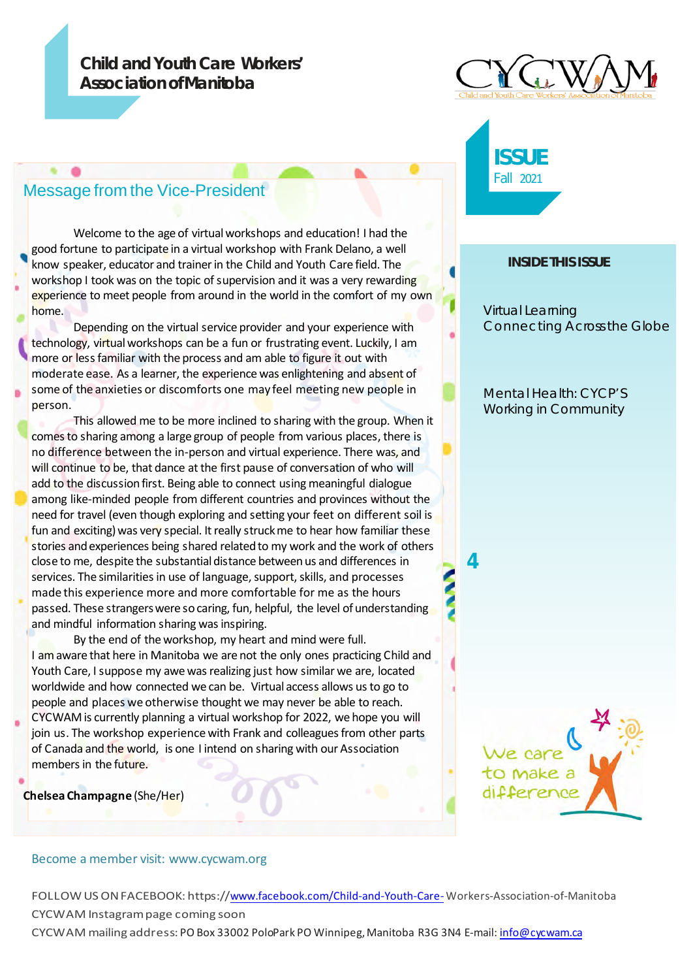## **Child andYouth Care Workers' Association of Manitoba**

# Message from the Vice-President

Welcome to the age of virtual workshops and education! I had the good fortune to participate in a virtual workshop with Frank Delano, a well know speaker, educator and trainer in the Child and Youth Care field. The workshop I took was on the topic of supervision and it was a very rewarding experience to meet people from around in the world in the comfort of my own home.

Depending on the virtual service provider and your experience with technology, virtualworkshops can be a fun or frustrating event. Luckily, I am more or less familiar with the process and am able to figure it out with moderate ease. As a learner, the experience was enlightening and absent of some of the anxieties or discomforts one may feel meeting new people in person.

This allowed me to be more inclined to sharing with the group. When it comes to sharing among a large group of people from various places, there is no difference between the in-person and virtual experience. There was, and will continue to be, that dance at the first pause of conversation of who will add to the discussion first. Being able to connect using meaningful dialogue among like-minded people from different countries and provinces without the need for travel (even though exploring and setting your feet on different soil is fun and exciting) was very special. It really struck me to hear how familiar these stories and experiences being shared related to my work and the work of others close to me, despite the substantial distance between us and differences in services. The similarities in use of language, support, skills, and processes made this experience more and more comfortable for me as the hours passed. These strangers were so caring, fun, helpful, the level of understanding and mindful information sharing was inspiring.

By the end of the workshop, my heart and mind were full. I am aware that here in Manitoba we are not the only ones practicing Child and Youth Care, I suppose my awe was realizing just how similar we are, located worldwide and how connected we can be. Virtual access allows usto go to people and places we otherwise thought we may never be able to reach.

CYCWAM is currently planning a virtual workshop for 2022, we hope you will join us. The workshop experience with Frank and colleagues from other parts of Canada and the world, is one I intend on sharing with our Association members in the future.

**Chelsea Champagne** (She/Her)

#### Become a member visit: www.cycwam.org

FOLLOW US ON FACEBOOK: https[://www.facebook.com/Child-and-Youth-Care-](http://www.facebook.com/Child-and-Youth-Care-) Workers-Association-of-Manitoba CYCWAM Instagrampage coming soon

CYCWAM mailing address: PO Box 33002 PoloPark PO Winnipeg,Manitoba R3G 3N4 E-mail: [info@cycwam.ca](mailto:info@cycwam.ca)





## **INSIDE THIS ISSUE**

Virtual Learning Connecting Across the Globe

Mental Health: CYCP'S Working in Community

**4**

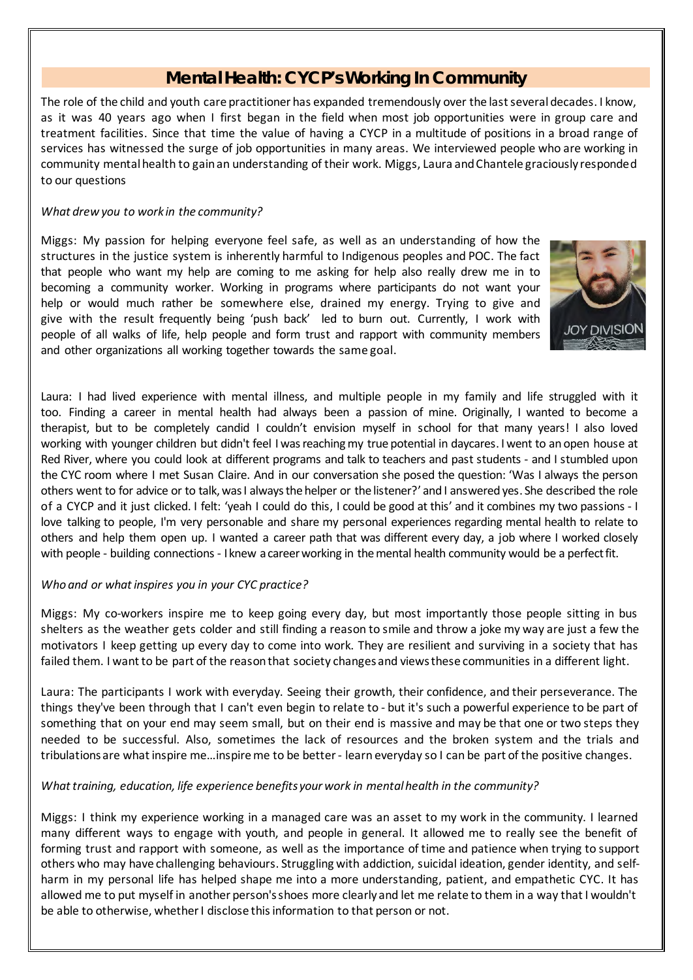# **Mental Health: CYCP's Working In Community**

The role of the child and youth care practitioner has expanded tremendously over the last several decades. I know, as it was 40 years ago when I first began in the field when most job opportunities were in group care and treatment facilities. Since that time the value of having a CYCP in a multitude of positions in a broad range of services has witnessed the surge of job opportunities in many areas. We interviewed people who are working in community mental health to gain an understanding of their work. Miggs, Laura and Chantele graciously responded to our questions

## *What drew you to work in the community?*

Miggs: My passion for helping everyone feel safe, as well as an understanding of how the structures in the justice system is inherently harmful to Indigenous peoples and POC. The fact that people who want my help are coming to me asking for help also really drew me in to becoming a community worker. Working in programs where participants do not want your help or would much rather be somewhere else, drained my energy. Trying to give and give with the result frequently being 'push back' led to burn out. Currently, I work with people of all walks of life, help people and form trust and rapport with community members and other organizations all working together towards the same goal.



Laura: I had lived experience with mental illness, and multiple people in my family and life struggled with it too. Finding a career in mental health had always been a passion of mine. Originally, I wanted to become a therapist, but to be completely candid I couldn't envision myself in school for that many years! I also loved working with younger children but didn't feel I was reaching my true potential in daycares. I went to an open house at Red River, where you could look at different programs and talk to teachers and past students - and I stumbled upon the CYC room where I met Susan Claire. And in our conversation she posed the question: 'Was I always the person others went to for advice or to talk,wasI alwaysthe helper or the listener?' and I answered yes. She described the role of a CYCP and it just clicked. I felt: 'yeah I could do this, I could be good at this' and it combines my two passions - I love talking to people, I'm very personable and share my personal experiences regarding mental health to relate to others and help them open up. I wanted a career path that was different every day, a job where I worked closely with people - building connections - I knew a career working in the mental health community would be a perfect fit.

## *Who and or whatinspires you in your CYC practice?*

Miggs: My co-workers inspire me to keep going every day, but most importantly those people sitting in bus shelters as the weather gets colder and still finding a reason to smile and throw a joke my way are just a few the motivators I keep getting up every day to come into work. They are resilient and surviving in a society that has failed them. I want to be part of the reason that society changes and views these communities in a different light.

Laura: The participants I work with everyday. Seeing their growth, their confidence, and their perseverance. The things they've been through that I can't even begin to relate to - but it's such a powerful experience to be part of something that on your end may seem small, but on their end is massive and may be that one or two steps they needed to be successful. Also, sometimes the lack of resources and the broken system and the trials and tribulations are what inspire me...inspire me to be better-learn everyday so I can be part of the positive changes.

#### *What training, education, life experience benefits your work in mental health in the community?*

Miggs: I think my experience working in a managed care was an asset to my work in the community. I learned many different ways to engage with youth, and people in general. It allowed me to really see the benefit of forming trust and rapport with someone, as well as the importance of time and patience when trying to support others who may have challenging behaviours. Struggling with addiction, suicidal ideation, gender identity, and selfharm in my personal life has helped shape me into a more understanding, patient, and empathetic CYC. It has allowed me to put myself in another person's shoes more clearly and let me relate to them in a way that I wouldn't be able to otherwise, whether I disclose this information to that person or not.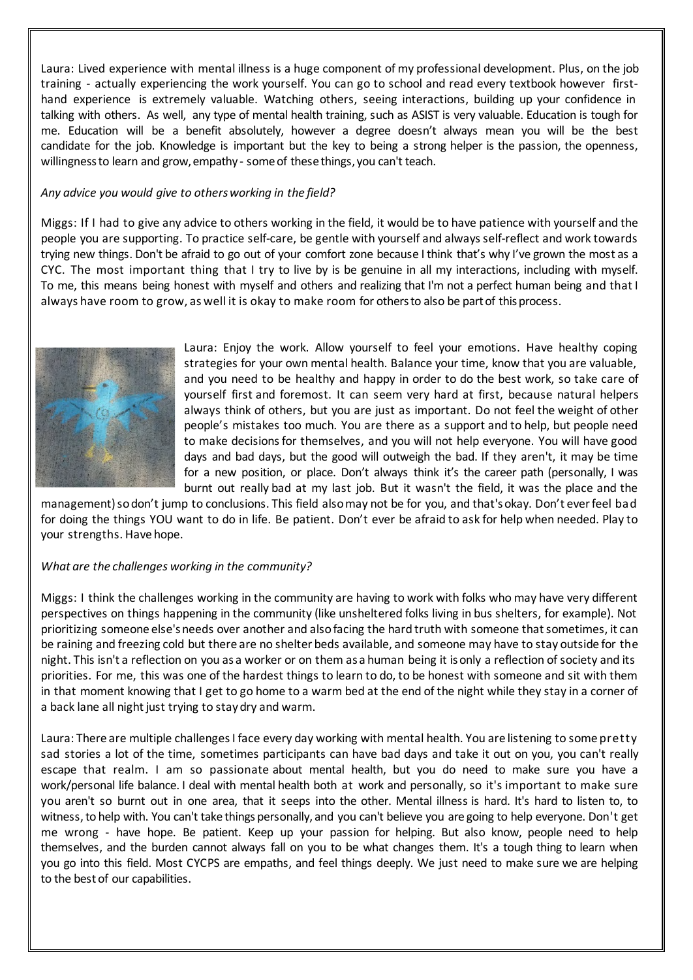Laura: Lived experience with mental illness is a huge component of my professional development. Plus, on the job training - actually experiencing the work yourself. You can go to school and read every textbook however firsthand experience is extremely valuable. Watching others, seeing interactions, building up your confidence in talking with others. As well, any type of mental health training, such as ASIST is very valuable. Education is tough for me. Education will be a benefit absolutely, however a degree doesn't always mean you will be the best candidate for the job. Knowledge is important but the key to being a strong helper is the passion, the openness, willingnessto learn and grow, empathy - some of these things, you can't teach.

#### *Any advice you would give to othersworking in the field?*

Miggs: If I had to give any advice to others working in the field, it would be to have patience with yourself and the people you are supporting. To practice self-care, be gentle with yourself and always self-reflect and work towards trying new things. Don't be afraid to go out of your comfort zone because I think that's why I've grown the most as a CYC. The most important thing that I try to live by is be genuine in all my interactions, including with myself. To me, this means being honest with myself and others and realizing that I'm not a perfect human being and that I always have room to grow, as well it is okay to make room for othersto also be partof thisprocess.



Laura: Enjoy the work. Allow yourself to feel your emotions. Have healthy coping strategies for your own mental health. Balance your time, know that you are valuable, and you need to be healthy and happy in order to do the best work, so take care of yourself first and foremost. It can seem very hard at first, because natural helpers always think of others, but you are just as important. Do not feel the weight of other people's mistakes too much. You are there as a support and to help, but people need to make decisionsfor themselves, and you will not help everyone. You will have good days and bad days, but the good will outweigh the bad. If they aren't, it may be time for a new position, or place. Don't always think it's the career path (personally, I was burnt out really bad at my last job. But it wasn't the field, it was the place and the

management) sodon't jump to conclusions. This field also may not be for you, and that's okay. Don't ever feel bad for doing the things YOU want to do in life. Be patient. Don't ever be afraid to ask for help when needed. Play to your strengths. Have hope.

## *What are the challenges working in the community?*

Miggs: I think the challenges working in the community are having to work with folks who may have very different perspectives on things happening in the community (like unsheltered folks living in bus shelters, for example). Not prioritizing someone else'sneeds over another and alsofacing the hard truth with someone thatsometimes, it can be raining and freezing cold but there are no shelter beds available, and someone may have to stay outside for the night. This isn't a reflection on you as a worker or on them as a human being it isonly a reflection of society and its priorities. For me, this was one of the hardest things to learn to do, to be honest with someone and sit with them in that moment knowing that I get to go home to a warm bed at the end of the night while they stay in a corner of a back lane all night just trying to stay dry and warm.

Laura: There are multiple challenges I face every day working with mental health. You are listening to some pretty sad stories a lot of the time, sometimes participants can have bad days and take it out on you, you can't really escape that realm. I am so passionate about mental health, but you do need to make sure you have a work/personal life balance. I deal with mental health both at work and personally, so it's important to make sure you aren't so burnt out in one area, that it seeps into the other. Mental illness is hard. It's hard to listen to, to witness, to help with. You can't take things personally, and you can't believe you are going to help everyone. Don't get me wrong - have hope. Be patient. Keep up your passion for helping. But also know, people need to help themselves, and the burden cannot always fall on you to be what changes them. It's a tough thing to learn when you go into this field. Most CYCPS are empaths, and feel things deeply. We just need to make sure we are helping to the bestof our capabilities.